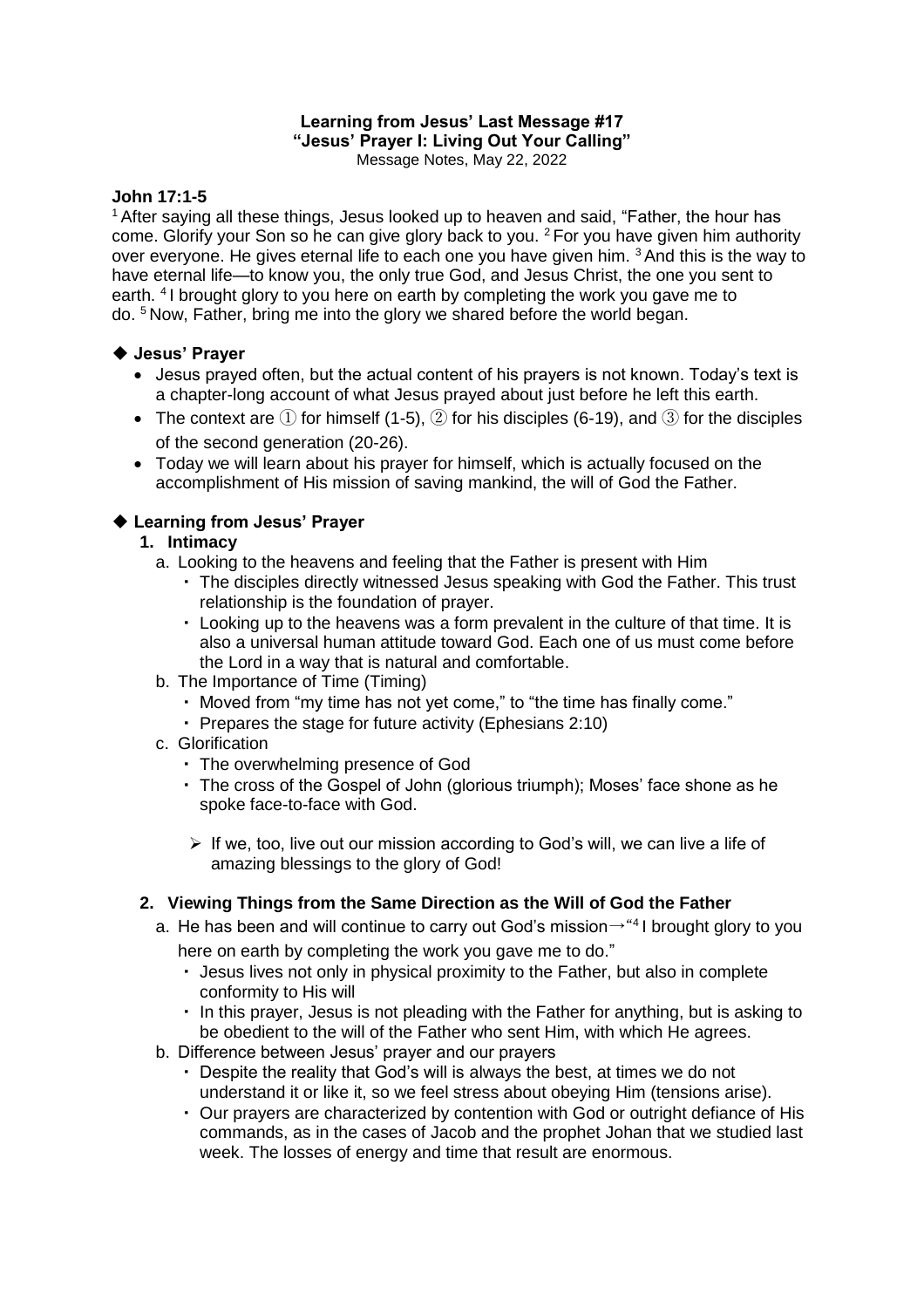### **Learning from Jesus' Last Message #17 "Jesus' Prayer I: Living Out Your Calling"**

Message Notes, May 22, 2022

### **John 17:1-5**

<sup>1</sup> After saying all these things, Jesus looked up to heaven and said, "Father, the hour has come. Glorify your Son so he can give glory back to you. <sup>2</sup> For you have given him authority over everyone. He gives eternal life to each one you have given him. <sup>3</sup> And this is the way to have eternal life—to know you, the only true God, and Jesus Christ, the one you sent to earth. <sup>4</sup> I brought glory to you here on earth by completing the work you gave me to do. <sup>5</sup> Now, Father, bring me into the glory we shared before the world began.

### **Jesus' Prayer**

- Jesus prayed often, but the actual content of his prayers is not known. Today's text is a chapter-long account of what Jesus prayed about just before he left this earth.
- The context are  $(1)$  for himself (1-5),  $(2)$  for his disciples (6-19), and  $(3)$  for the disciples of the second generation (20-26).
- Today we will learn about his prayer for himself, which is actually focused on the accomplishment of His mission of saving mankind, the will of God the Father.

# **Learning from Jesus' Prayer**

- **1. Intimacy**
	- a. Looking to the heavens and feeling that the Father is present with Him
		- ・ The disciples directly witnessed Jesus speaking with God the Father. This trust relationship is the foundation of prayer.
		- ・ Looking up to the heavens was a form prevalent in the culture of that time. It is also a universal human attitude toward God. Each one of us must come before the Lord in a way that is natural and comfortable.
	- b. The Importance of Time (Timing)
		- ・ Moved from "my time has not yet come," to "the time has finally come."
		- ・ Prepares the stage for future activity (Ephesians 2:10)
	- c. Glorification
		- ・ The overwhelming presence of God
		- ・ The cross of the Gospel of John (glorious triumph); Moses' face shone as he spoke face-to-face with God.
		- $\triangleright$  If we, too, live out our mission according to God's will, we can live a life of amazing blessings to the glory of God!

### **2. Viewing Things from the Same Direction as the Will of God the Father**

- a. He has been and will continue to carry out God's mission $\rightarrow$ "4 I brought glory to you here on earth by completing the work you gave me to do."
	- ・ Jesus lives not only in physical proximity to the Father, but also in complete conformity to His will
	- ・ In this prayer, Jesus is not pleading with the Father for anything, but is asking to be obedient to the will of the Father who sent Him, with which He agrees.
- b. Difference between Jesus' prayer and our prayers
	- ・ Despite the reality that God's will is always the best, at times we do not understand it or like it, so we feel stress about obeying Him (tensions arise).
	- ・ Our prayers are characterized by contention with God or outright defiance of His commands, as in the cases of Jacob and the prophet Johan that we studied last week. The losses of energy and time that result are enormous.